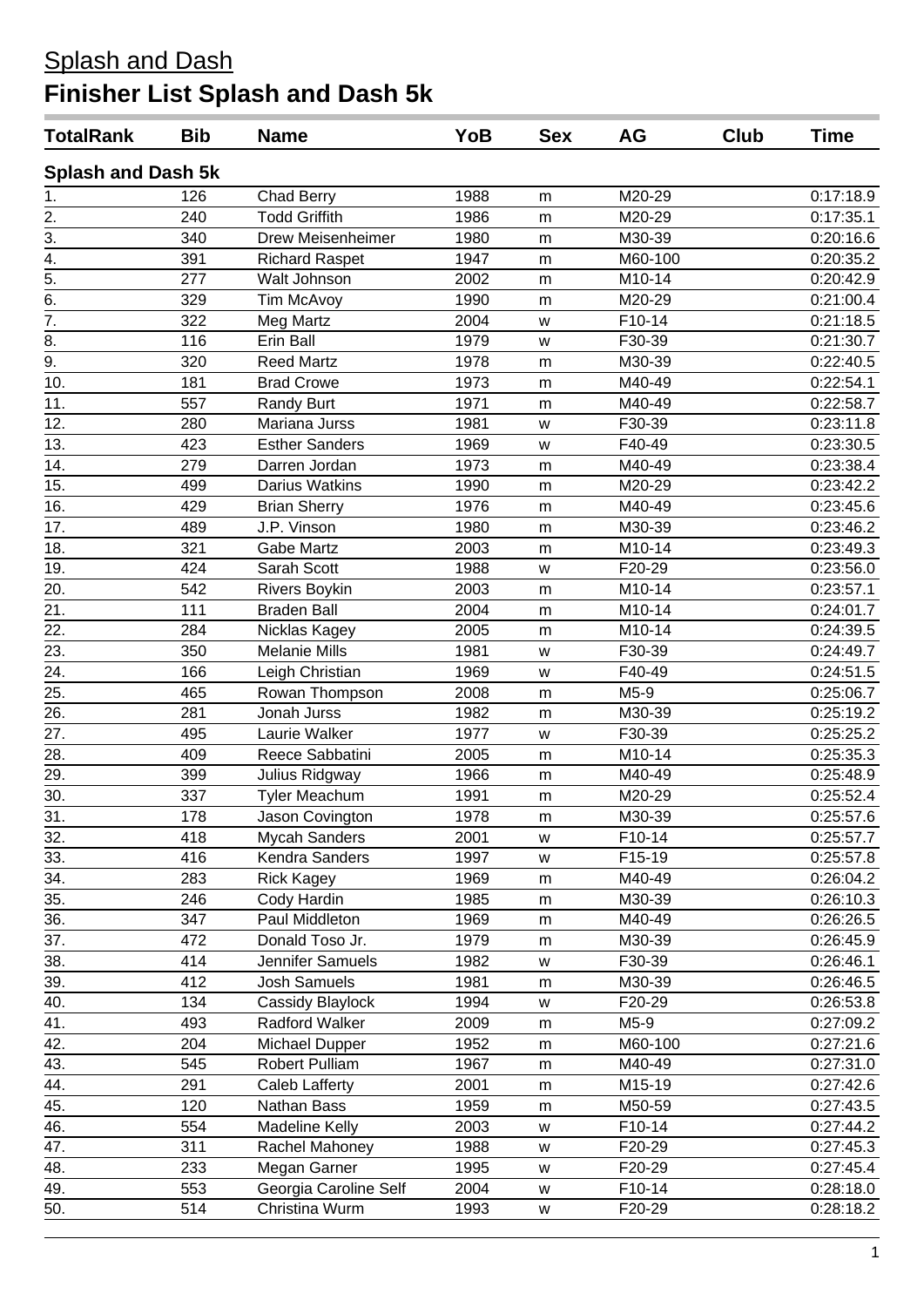| <b>TotalRank</b>          | <b>Bib</b> | <b>Name</b>           | YoB  | <b>Sex</b> | AG      | Club | Time      |
|---------------------------|------------|-----------------------|------|------------|---------|------|-----------|
| <b>Splash and Dash 5k</b> |            |                       |      |            |         |      |           |
| 1.                        | 126        | <b>Chad Berry</b>     | 1988 | m          | M20-29  |      | 0:17:18.9 |
| $\overline{2}$ .          | 240        | <b>Todd Griffith</b>  | 1986 | m          | M20-29  |      | 0:17:35.1 |
| $\overline{3}$ .          | 340        | Drew Meisenheimer     | 1980 | m          | M30-39  |      | 0:20:16.6 |
|                           | 391        | <b>Richard Raspet</b> | 1947 | m          | M60-100 |      | 0:20:35.2 |
| $\frac{4}{5}$             | 277        | Walt Johnson          | 2002 | m          | M10-14  |      | 0:20:42.9 |
| $\overline{6}$ .          | 329        | Tim McAvoy            | 1990 | m          | M20-29  |      | 0:21:00.4 |
| $\frac{1}{7}$             | 322        | Meg Martz             | 2004 | W          | F10-14  |      | 0:21:18.5 |
| 8.                        | 116        | Erin Ball             | 1979 | W          | F30-39  |      | 0:21:30.7 |
| $\overline{9}$ .          | 320        | <b>Reed Martz</b>     | 1978 | m          | M30-39  |      | 0:22:40.5 |
| 10.                       | 181        | <b>Brad Crowe</b>     | 1973 | m          | M40-49  |      | 0:22:54.1 |
| 11.                       | 557        | <b>Randy Burt</b>     | 1971 | m          | M40-49  |      | 0:22:58.7 |
| 12.                       | 280        | Mariana Jurss         | 1981 | W          | F30-39  |      | 0:23:11.8 |
| 13.                       | 423        | <b>Esther Sanders</b> | 1969 | W          | F40-49  |      | 0:23:30.5 |
| 14.                       | 279        | Darren Jordan         | 1973 | m          | M40-49  |      | 0:23:38.4 |
| 15.                       | 499        | Darius Watkins        | 1990 | ${\sf m}$  | M20-29  |      | 0:23:42.2 |
| 16.                       | 429        | <b>Brian Sherry</b>   | 1976 | m          | M40-49  |      | 0:23:45.6 |
| 17.                       | 489        | J.P. Vinson           | 1980 | m          | M30-39  |      | 0:23:46.2 |
| 18.                       | 321        | <b>Gabe Martz</b>     | 2003 | m          | M10-14  |      | 0:23:49.3 |
| 19.                       | 424        | Sarah Scott           | 1988 | W          | F20-29  |      | 0:23:56.0 |
| 20.                       | 542        | <b>Rivers Boykin</b>  | 2003 | m          | M10-14  |      | 0:23:57.1 |
| 21.                       | 111        | <b>Braden Ball</b>    | 2004 | m          | M10-14  |      | 0:24:01.7 |
| 22.                       | 284        | Nicklas Kagey         | 2005 | m          | M10-14  |      | 0:24:39.5 |
| $\overline{23}$ .         | 350        | <b>Melanie Mills</b>  | 1981 | W          | F30-39  |      | 0:24:49.7 |
| 24.                       | 166        | Leigh Christian       | 1969 | W          | F40-49  |      | 0:24:51.5 |
| 25.                       | 465        | Rowan Thompson        | 2008 | m          | M5-9    |      | 0:25:06.7 |
| 26.                       | 281        | Jonah Jurss           | 1982 | m          | M30-39  |      | 0:25:19.2 |
| 27.                       | 495        | Laurie Walker         | 1977 | W          | F30-39  |      | 0:25:25.2 |
| 28.                       | 409        | Reece Sabbatini       | 2005 | m          | M10-14  |      | 0:25:35.3 |
| 29.                       | 399        | Julius Ridgway        | 1966 | ${\sf m}$  | M40-49  |      | 0:25:48.9 |
| 30.                       | 337        | Tyler Meachum         | 1991 | m          | M20-29  |      | 0:25:52.4 |
| 31.                       | 178        | Jason Covington       | 1978 | m          | M30-39  |      | 0:25:57.6 |
| 32.                       | 418        | <b>Mycah Sanders</b>  | 2001 | w          | F10-14  |      | 0:25:57.7 |
| 33.                       | 416        | Kendra Sanders        | 1997 | W          | F15-19  |      | 0:25:57.8 |
| 34.                       | 283        | <b>Rick Kagey</b>     | 1969 | m          | M40-49  |      | 0:26:04.2 |
| 35.                       | 246        | Cody Hardin           | 1985 | ${\sf m}$  | M30-39  |      | 0:26:10.3 |
| 36.                       | 347        | Paul Middleton        | 1969 | m          | M40-49  |      | 0:26:26.5 |
| 37.                       | 472        | Donald Toso Jr.       | 1979 | m          | M30-39  |      | 0:26:45.9 |
| 38.                       | 414        | Jennifer Samuels      | 1982 | W          | F30-39  |      | 0:26:46.1 |
| 39.                       | 412        | Josh Samuels          | 1981 | m          | M30-39  |      | 0:26:46.5 |
| 40.                       | 134        | Cassidy Blaylock      | 1994 | W          | F20-29  |      | 0:26:53.8 |
| 41.                       | 493        | Radford Walker        | 2009 | m          | M5-9    |      | 0:27:09.2 |
| 42.                       | 204        | Michael Dupper        | 1952 | m          | M60-100 |      | 0:27:21.6 |
| 43.                       | 545        | Robert Pulliam        | 1967 | m          | M40-49  |      | 0:27:31.0 |
| 44.                       | 291        | Caleb Lafferty        | 2001 | m          | M15-19  |      | 0:27:42.6 |
| 45.                       | 120        | Nathan Bass           | 1959 | m          | M50-59  |      | 0:27:43.5 |
| 46.                       | 554        | <b>Madeline Kelly</b> | 2003 | W          | F10-14  |      | 0:27:44.2 |
| 47.                       | 311        | Rachel Mahoney        | 1988 | W          | F20-29  |      | 0:27:45.3 |
| 48.                       | 233        | Megan Garner          | 1995 |            | F20-29  |      | 0:27:45.4 |
|                           | 553        | Georgia Caroline Self |      | w          |         |      |           |
| 49.                       |            |                       | 2004 | W          | F10-14  |      | 0:28:18.0 |
| 50.                       | 514        | Christina Wurm        | 1993 | W          | F20-29  |      | 0:28:18.2 |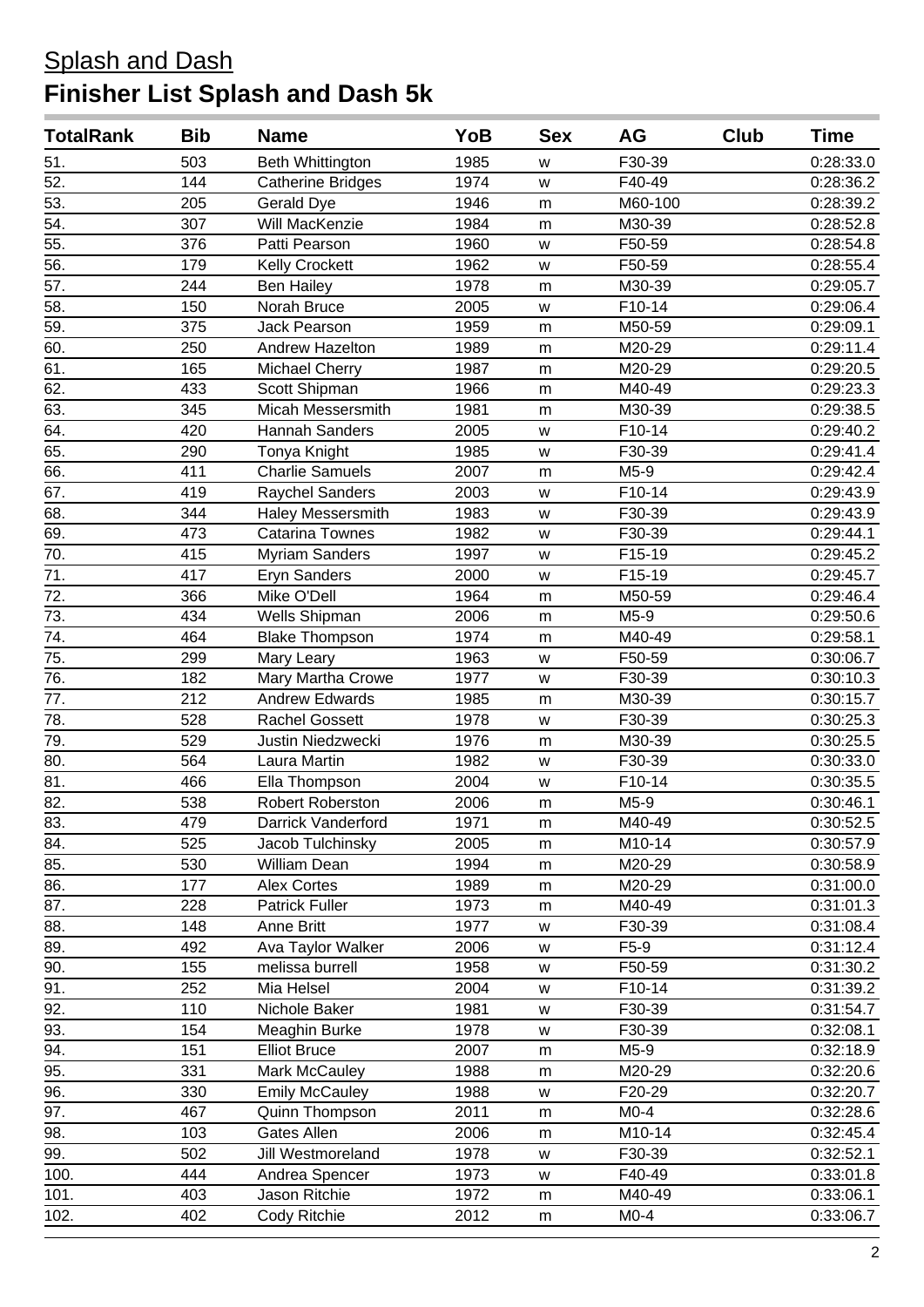#### Splash and Dash **Finisher List Splash and Dash 5k**

| <b>TotalRank</b>  | <b>Bib</b> | <b>Name</b>              | YoB  | <b>Sex</b> | <b>AG</b> | Club | Time      |
|-------------------|------------|--------------------------|------|------------|-----------|------|-----------|
| 51.               | 503        | Beth Whittington         | 1985 | W          | F30-39    |      | 0:28:33.0 |
| 52.               | 144        | <b>Catherine Bridges</b> | 1974 | W          | F40-49    |      | 0:28:36.2 |
| 53.               | 205        | Gerald Dye               | 1946 | m          | M60-100   |      | 0:28:39.2 |
| $\overline{54}$ . | 307        | Will MacKenzie           | 1984 | m          | M30-39    |      | 0:28:52.8 |
| 55.               | 376        | Patti Pearson            | 1960 | W          | F50-59    |      | 0:28:54.8 |
| 56.               | 179        | <b>Kelly Crockett</b>    | 1962 | W          | F50-59    |      | 0:28:55.4 |
| 57.               | 244        | <b>Ben Hailey</b>        | 1978 | m          | M30-39    |      | 0:29:05.7 |
| $\overline{58}$ . | 150        | Norah Bruce              | 2005 | W          | F10-14    |      | 0:29:06.4 |
| $\overline{59}$ . | 375        | <b>Jack Pearson</b>      | 1959 | m          | M50-59    |      | 0:29:09.1 |
| 60.               | 250        | Andrew Hazelton          | 1989 | m          | M20-29    |      | 0:29:11.4 |
| 61.               | 165        | <b>Michael Cherry</b>    | 1987 | ${\sf m}$  | M20-29    |      | 0:29:20.5 |
| 62.               | 433        | Scott Shipman            | 1966 | m          | M40-49    |      | 0:29:23.3 |
| 63.               | 345        | <b>Micah Messersmith</b> | 1981 | ${\sf m}$  | M30-39    |      | 0:29:38.5 |
| 64.               | 420        | <b>Hannah Sanders</b>    | 2005 | W          | F10-14    |      | 0:29:40.2 |
| 65.               | 290        | Tonya Knight             | 1985 | W          | F30-39    |      | 0:29:41.4 |
| 66.               | 411        | <b>Charlie Samuels</b>   | 2007 | ${\sf m}$  | M5-9      |      | 0:29:42.4 |
| 67.               | 419        | <b>Raychel Sanders</b>   | 2003 | W          | F10-14    |      | 0:29:43.9 |
| 68.               | 344        | <b>Haley Messersmith</b> | 1983 | W          | F30-39    |      | 0:29:43.9 |
| 69.               | 473        | <b>Catarina Townes</b>   | 1982 | W          | F30-39    |      | 0:29:44.1 |
| 70.               | 415        | <b>Myriam Sanders</b>    | 1997 | W          | F15-19    |      | 0:29:45.2 |
| 71.               | 417        | <b>Eryn Sanders</b>      | 2000 | W          | F15-19    |      | 0:29:45.7 |
| 72.               | 366        | Mike O'Dell              | 1964 | m          | M50-59    |      | 0:29:46.4 |
| 73.               | 434        | Wells Shipman            | 2006 | m          | M5-9      |      | 0:29:50.6 |
| 74.               | 464        | <b>Blake Thompson</b>    | 1974 | m          | M40-49    |      | 0:29:58.1 |
| 75.               | 299        | Mary Leary               | 1963 | W          | F50-59    |      | 0:30:06.7 |
| 76.               | 182        | Mary Martha Crowe        | 1977 | W          | F30-39    |      | 0:30:10.3 |
| 77.               | 212        | <b>Andrew Edwards</b>    | 1985 | m          | M30-39    |      | 0:30:15.7 |
| $\overline{78}$ . | 528        | <b>Rachel Gossett</b>    | 1978 | W          | F30-39    |      | 0:30:25.3 |
| 79.               | 529        | Justin Niedzwecki        | 1976 | m          | M30-39    |      | 0:30:25.5 |
| 80.               | 564        | Laura Martin             | 1982 | W          | F30-39    |      | 0:30:33.0 |
| 81.               | 466        | Ella Thompson            | 2004 | W          | F10-14    |      | 0:30:35.5 |
| $\overline{82}$ . | 538        | <b>Robert Roberston</b>  | 2006 | m          | M5-9      |      | 0:30:46.1 |
| 83.               | 479        | Darrick Vanderford       | 1971 | m          | M40-49    |      | 0:30:52.5 |
| 84.               | 525        | Jacob Tulchinsky         | 2005 | m          | M10-14    |      | 0:30:57.9 |
| 85.               | 530        | William Dean             | 1994 | m          | M20-29    |      | 0:30:58.9 |
| 86.               | 177        | <b>Alex Cortes</b>       | 1989 | m          | M20-29    |      | 0:31:00.0 |
| 87.               | 228        | <b>Patrick Fuller</b>    | 1973 | m          | M40-49    |      | 0:31:01.3 |
| 88.               | 148        | Anne Britt               | 1977 | W          | F30-39    |      | 0:31:08.4 |
| 89.               | 492        | Ava Taylor Walker        | 2006 | W          | F5-9      |      | 0:31:12.4 |
| 90.               | 155        | melissa burrell          | 1958 | W          | F50-59    |      | 0:31:30.2 |
| $\overline{91}$ . | 252        | Mia Helsel               | 2004 | W          | F10-14    |      | 0:31:39.2 |
| 92.               | 110        | Nichole Baker            | 1981 | W          | F30-39    |      | 0:31:54.7 |
| 93.               | 154        | Meaghin Burke            | 1978 | W          | F30-39    |      | 0:32:08.1 |
| 94.               | 151        | <b>Elliot Bruce</b>      | 2007 | m          | M5-9      |      | 0:32:18.9 |
| 95.               | 331        | Mark McCauley            | 1988 | m          | M20-29    |      | 0:32:20.6 |
| 96.               | 330        | <b>Emily McCauley</b>    | 1988 | W          | F20-29    |      | 0:32:20.7 |
| 97.               | 467        | Quinn Thompson           | 2011 | m          | $M0-4$    |      | 0:32:28.6 |
| 98.               | 103        | <b>Gates Allen</b>       | 2006 | m          | M10-14    |      | 0:32:45.4 |
| 99.               | 502        | Jill Westmoreland        | 1978 | W          | F30-39    |      | 0:32:52.1 |
| 100.              | 444        | Andrea Spencer           | 1973 | W          | F40-49    |      | 0:33:01.8 |
| 101.              | 403        | Jason Ritchie            | 1972 | m          | M40-49    |      | 0:33:06.1 |
| 102.              | 402        | Cody Ritchie             | 2012 | m          | $M0-4$    |      | 0:33:06.7 |
|                   |            |                          |      |            |           |      |           |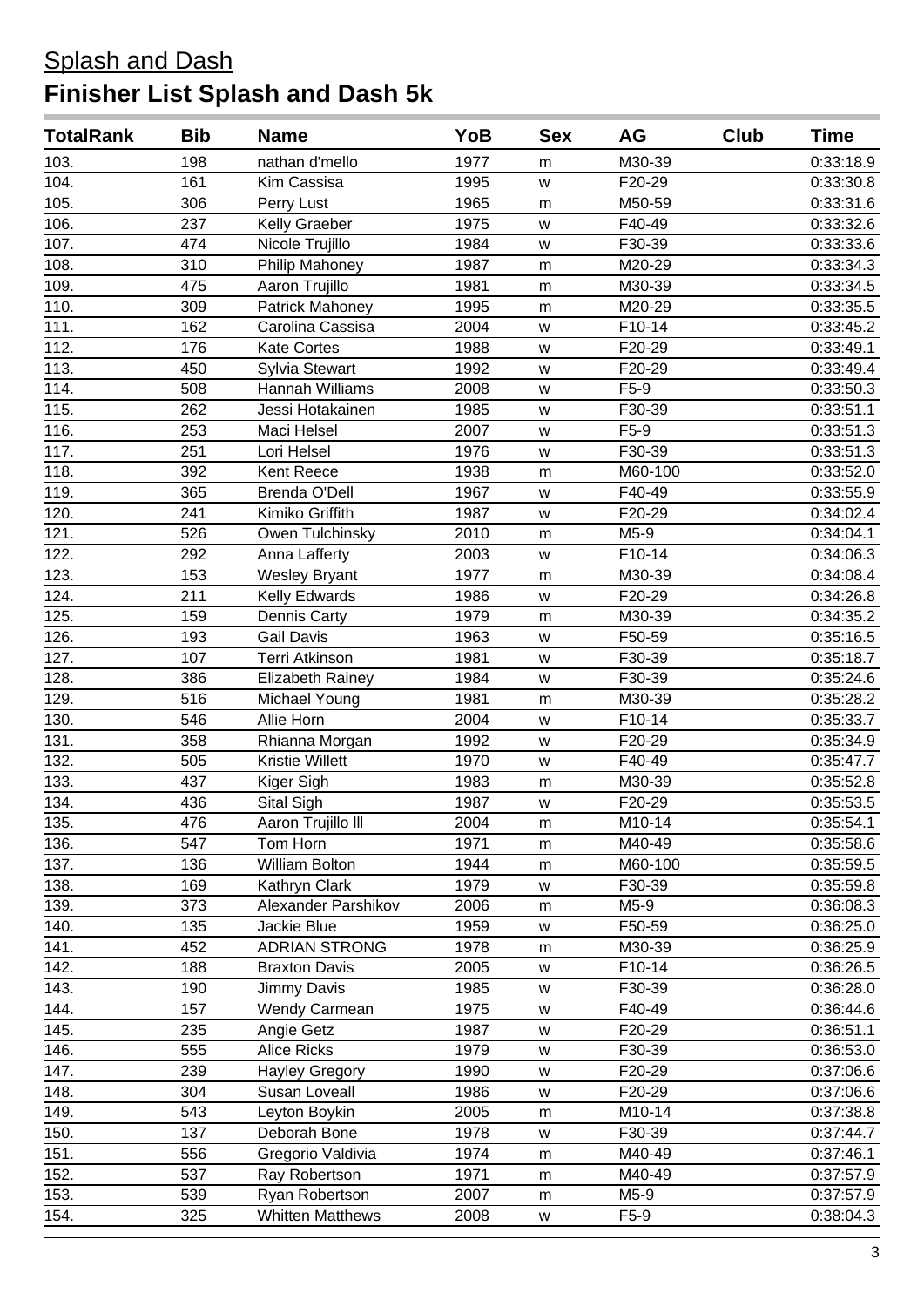| <b>TotalRank</b> | <b>Bib</b> | <b>Name</b>             | YoB  | <b>Sex</b> | AG      | Club | Time      |
|------------------|------------|-------------------------|------|------------|---------|------|-----------|
| 103.             | 198        | nathan d'mello          | 1977 | m          | M30-39  |      | 0:33:18.9 |
| 104.             | 161        | Kim Cassisa             | 1995 | W          | F20-29  |      | 0:33:30.8 |
| 105.             | 306        | Perry Lust              | 1965 | m          | M50-59  |      | 0:33:31.6 |
| 106.             | 237        | Kelly Graeber           | 1975 | W          | F40-49  |      | 0:33:32.6 |
| 107.             | 474        | Nicole Trujillo         | 1984 | W          | F30-39  |      | 0:33:33.6 |
| 108.             | 310        | Philip Mahoney          | 1987 | m          | M20-29  |      | 0:33:34.3 |
| 109.             | 475        | Aaron Trujillo          | 1981 | m          | M30-39  |      | 0:33:34.5 |
| 110.             | 309        | Patrick Mahoney         | 1995 | m          | M20-29  |      | 0:33:35.5 |
| 111.             | 162        | Carolina Cassisa        | 2004 | W          | F10-14  |      | 0:33:45.2 |
| 112.             | 176        | <b>Kate Cortes</b>      | 1988 | W          | F20-29  |      | 0:33:49.1 |
| 113.             | 450        | Sylvia Stewart          | 1992 | W          | F20-29  |      | 0:33:49.4 |
| 114.             | 508        | Hannah Williams         | 2008 | W          | F5-9    |      | 0:33:50.3 |
| 115.             | 262        | Jessi Hotakainen        | 1985 | W          | F30-39  |      | 0:33:51.1 |
| 116.             | 253        | Maci Helsel             | 2007 | W          | F5-9    |      | 0:33:51.3 |
| 117.             | 251        | Lori Helsel             | 1976 | W          | F30-39  |      | 0:33:51.3 |
| 118.             | 392        | Kent Reece              | 1938 | m          | M60-100 |      | 0:33:52.0 |
| 119.             | 365        | Brenda O'Dell           | 1967 | W          | F40-49  |      | 0:33:55.9 |
| 120.             | 241        | Kimiko Griffith         | 1987 | W          | F20-29  |      | 0:34:02.4 |
| 121.             | 526        | Owen Tulchinsky         | 2010 | m          | M5-9    |      | 0:34:04.1 |
| 122.             | 292        | Anna Lafferty           | 2003 | W          | F10-14  |      | 0:34:06.3 |
| 123.             | 153        | <b>Wesley Bryant</b>    | 1977 | m          | M30-39  |      | 0:34:08.4 |
| 124.             | 211        | Kelly Edwards           | 1986 | W          | F20-29  |      | 0:34:26.8 |
| 125.             | 159        | Dennis Carty            | 1979 | m          | M30-39  |      | 0:34:35.2 |
| 126.             | 193        | <b>Gail Davis</b>       | 1963 | W          | F50-59  |      | 0:35:16.5 |
| 127.             | 107        | <b>Terri Atkinson</b>   | 1981 | W          | F30-39  |      | 0:35:18.7 |
| 128.             | 386        | <b>Elizabeth Rainey</b> | 1984 | W          | F30-39  |      | 0:35:24.6 |
| 129.             | 516        | Michael Young           | 1981 | m          | M30-39  |      | 0:35:28.2 |
| 130.             | 546        | Allie Horn              | 2004 | W          | F10-14  |      | 0:35:33.7 |
| 131.             | 358        | Rhianna Morgan          | 1992 | W          | F20-29  |      | 0:35:34.9 |
| 132.             | 505        | <b>Kristie Willett</b>  | 1970 | W          | F40-49  |      | 0:35:47.7 |
| 133.             | 437        | Kiger Sigh              | 1983 | m          | M30-39  |      | 0:35:52.8 |
| 134.             | 436        | Sital Sigh              | 1987 | W          | F20-29  |      | 0:35:53.5 |
| 135.             | 476        | Aaron Trujillo III      | 2004 | m          | M10-14  |      | 0:35:54.1 |
| 136.             | 547        | Tom Horn                | 1971 | m          | M40-49  |      | 0:35:58.6 |
| 137.             | 136        | William Bolton          | 1944 | m          | M60-100 |      | 0:35:59.5 |
| 138.             | 169        | Kathryn Clark           | 1979 | W          | F30-39  |      | 0:35:59.8 |
| 139.             | 373        | Alexander Parshikov     | 2006 | m          | M5-9    |      | 0:36:08.3 |
| 140.             | 135        | Jackie Blue             | 1959 | W          | F50-59  |      | 0:36:25.0 |
| 141.             | 452        | <b>ADRIAN STRONG</b>    | 1978 | m          | M30-39  |      | 0:36:25.9 |
| 142.             | 188        | <b>Braxton Davis</b>    | 2005 | W          | F10-14  |      | 0:36:26.5 |
| 143.             | 190        | Jimmy Davis             | 1985 | W          | F30-39  |      | 0:36:28.0 |
| 144.             | 157        | Wendy Carmean           | 1975 | W          | F40-49  |      | 0:36:44.6 |
| 145.             | 235        | Angie Getz              | 1987 | W          | F20-29  |      | 0:36:51.1 |
| 146.             | 555        | <b>Alice Ricks</b>      | 1979 | w          | F30-39  |      | 0:36:53.0 |
| 147.             | 239        | <b>Hayley Gregory</b>   | 1990 | W          | F20-29  |      | 0:37:06.6 |
| 148.             | 304        | Susan Loveall           | 1986 | W          | F20-29  |      | 0:37:06.6 |
| 149.             | 543        | Leyton Boykin           | 2005 | m          | M10-14  |      | 0:37:38.8 |
| 150.             | 137        | Deborah Bone            | 1978 | W          | F30-39  |      | 0:37:44.7 |
| 151.             | 556        | Gregorio Valdivia       | 1974 | m          | M40-49  |      | 0:37:46.1 |
| 152.             | 537        | Ray Robertson           | 1971 | m          | M40-49  |      | 0:37:57.9 |
| 153.             | 539        | Ryan Robertson          | 2007 | m          | M5-9    |      | 0:37:57.9 |
| 154.             | 325        | <b>Whitten Matthews</b> | 2008 | W          | F5-9    |      | 0:38:04.3 |
|                  |            |                         |      |            |         |      |           |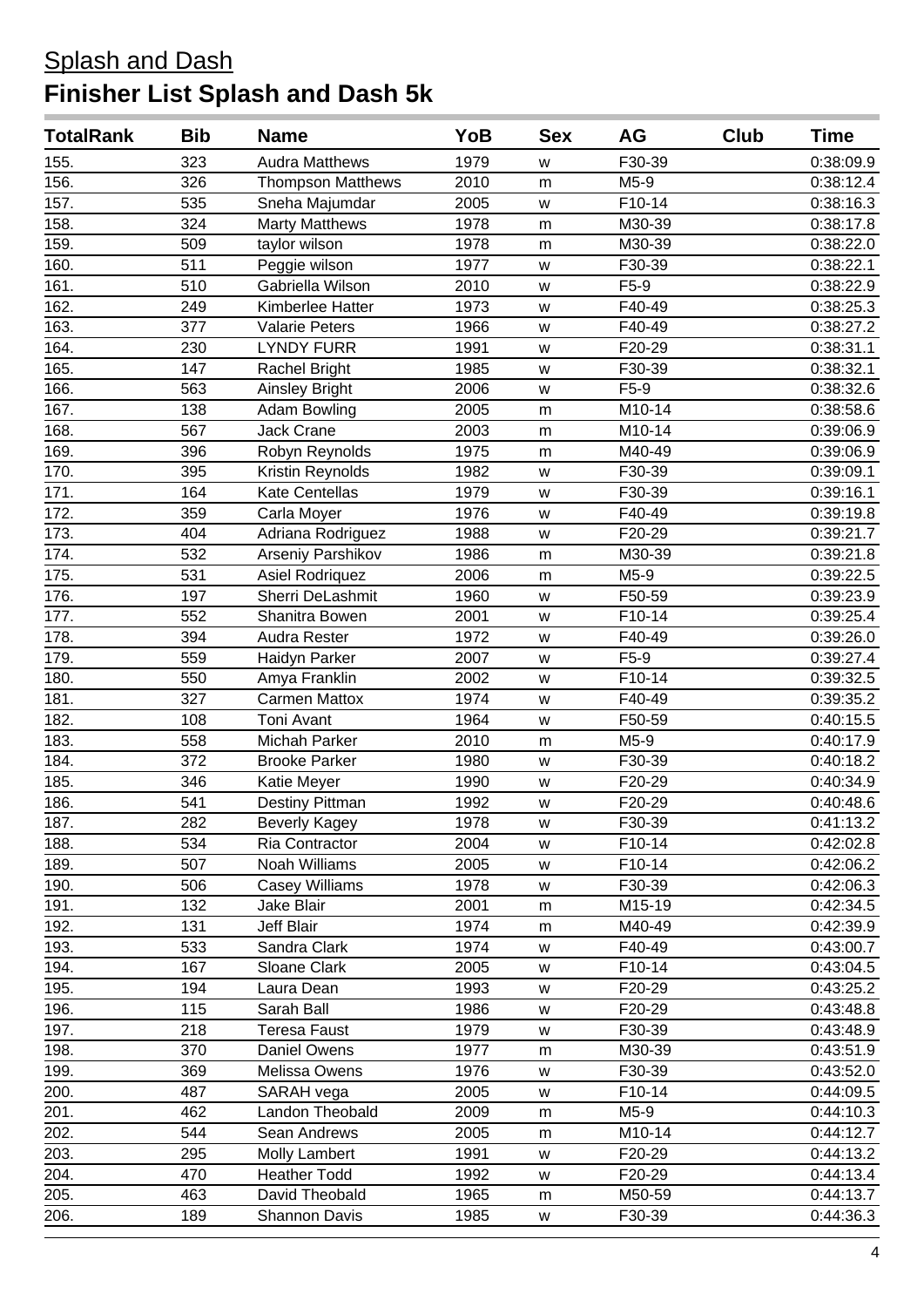| <b>TotalRank</b> | <b>Bib</b> | <b>Name</b>              | YoB  | <b>Sex</b> | <b>AG</b> | Club | <b>Time</b> |
|------------------|------------|--------------------------|------|------------|-----------|------|-------------|
| 155.             | 323        | <b>Audra Matthews</b>    | 1979 | W          | F30-39    |      | 0:38:09.9   |
| 156.             | 326        | <b>Thompson Matthews</b> | 2010 | m          | M5-9      |      | 0:38:12.4   |
| 157.             | 535        | Sneha Majumdar           | 2005 | W          | F10-14    |      | 0:38:16.3   |
| 158.             | 324        | <b>Marty Matthews</b>    | 1978 | m          | M30-39    |      | 0:38:17.8   |
| 159.             | 509        | taylor wilson            | 1978 | m          | M30-39    |      | 0:38:22.0   |
| 160.             | 511        | Peggie wilson            | 1977 | W          | F30-39    |      | 0:38:22.1   |
| 161.             | 510        | Gabriella Wilson         | 2010 | W          | F5-9      |      | 0:38:22.9   |
| 162.             | 249        | Kimberlee Hatter         | 1973 | W          | F40-49    |      | 0:38:25.3   |
| 163.             | 377        | <b>Valarie Peters</b>    | 1966 | W          | F40-49    |      | 0:38:27.2   |
| 164.             | 230        | <b>LYNDY FURR</b>        | 1991 | W          | F20-29    |      | 0:38:31.1   |
| 165.             | 147        | Rachel Bright            | 1985 | W          | F30-39    |      | 0:38:32.1   |
| 166.             | 563        | <b>Ainsley Bright</b>    | 2006 | W          | F5-9      |      | 0:38:32.6   |
| 167.             | 138        | <b>Adam Bowling</b>      | 2005 | m          | M10-14    |      | 0:38:58.6   |
| 168.             | 567        | <b>Jack Crane</b>        | 2003 | m          | M10-14    |      | 0:39:06.9   |
| 169.             | 396        | Robyn Reynolds           | 1975 | m          | M40-49    |      | 0:39:06.9   |
| 170.             | 395        | Kristin Reynolds         | 1982 | W          | F30-39    |      | 0:39:09.1   |
| 171.             | 164        | Kate Centellas           | 1979 | W          | F30-39    |      | 0:39:16.1   |
| 172.             | 359        | Carla Moyer              | 1976 | W          | F40-49    |      | 0:39:19.8   |
| 173.             | 404        | Adriana Rodriguez        | 1988 | W          | F20-29    |      | 0:39:21.7   |
| 174.             | 532        | Arseniy Parshikov        | 1986 | m          | M30-39    |      | 0:39:21.8   |
| 175.             | 531        | Asiel Rodriquez          | 2006 | m          | M5-9      |      | 0:39:22.5   |
| 176.             | 197        | Sherri DeLashmit         | 1960 | W          | F50-59    |      | 0:39:23.9   |
| 177.             | 552        | Shanitra Bowen           | 2001 | W          | F10-14    |      | 0:39:25.4   |
| 178.             | 394        | Audra Rester             | 1972 | W          | F40-49    |      | 0:39:26.0   |
| 179.             | 559        | Haidyn Parker            | 2007 | W          | F5-9      |      | 0:39:27.4   |
| 180.             | 550        | Amya Franklin            | 2002 | W          | F10-14    |      | 0:39:32.5   |
| 181.             | 327        | <b>Carmen Mattox</b>     | 1974 | W          | F40-49    |      | 0:39:35.2   |
| 182.             | 108        | Toni Avant               | 1964 | W          | F50-59    |      | 0:40:15.5   |
| 183.             | 558        | Michah Parker            | 2010 | m          | M5-9      |      | 0:40:17.9   |
| 184.             | 372        | <b>Brooke Parker</b>     | 1980 | W          | F30-39    |      | 0:40:18.2   |
| 185.             | 346        | Katie Meyer              | 1990 | W          | F20-29    |      | 0:40:34.9   |
| 186.             | 541        | Destiny Pittman          | 1992 | W          | F20-29    |      | 0:40:48.6   |
| 187.             | 282        | <b>Beverly Kagey</b>     | 1978 | w          | F30-39    |      | 0:41:13.2   |
| 188.             | 534        | Ria Contractor           | 2004 | w          | F10-14    |      | 0:42:02.8   |
| 189.             | 507        | Noah Williams            | 2005 | W          | F10-14    |      | 0:42:06.2   |
| 190.             | 506        | <b>Casey Williams</b>    | 1978 | W          | F30-39    |      | 0:42:06.3   |
| 191.             | 132        | Jake Blair               | 2001 | m          | M15-19    |      | 0:42:34.5   |
| 192.             | 131        | Jeff Blair               | 1974 | m          | M40-49    |      | 0:42:39.9   |
| 193.             | 533        | Sandra Clark             | 1974 | W          | F40-49    |      | 0:43:00.7   |
| 194.             | 167        | Sloane Clark             | 2005 | W          | F10-14    |      | 0:43:04.5   |
| 195.             | 194        | Laura Dean               | 1993 | W          | F20-29    |      | 0:43:25.2   |
| 196.             | 115        | Sarah Ball               | 1986 | W          | F20-29    |      | 0:43:48.8   |
| 197.             | 218        | <b>Teresa Faust</b>      | 1979 | W          | F30-39    |      | 0:43:48.9   |
| 198.             | 370        | Daniel Owens             | 1977 | m          | M30-39    |      | 0:43:51.9   |
| 199.             | 369        | Melissa Owens            | 1976 | W          | F30-39    |      | 0:43:52.0   |
| 200.             | 487        | SARAH vega               | 2005 | W          | F10-14    |      | 0:44:09.5   |
| 201.             | 462        | Landon Theobald          | 2009 | m          | M5-9      |      | 0:44:10.3   |
| 202.             | 544        | Sean Andrews             | 2005 | m          | M10-14    |      | 0:44:12.7   |
| 203.             | 295        | Molly Lambert            | 1991 | W          | F20-29    |      | 0:44:13.2   |
| 204.             | 470        | <b>Heather Todd</b>      | 1992 | W          | F20-29    |      | 0:44:13.4   |
| 205.             | 463        | David Theobald           | 1965 | m          | M50-59    |      | 0:44:13.7   |
| 206.             | 189        | Shannon Davis            | 1985 | w          | F30-39    |      | 0:44:36.3   |
|                  |            |                          |      |            |           |      |             |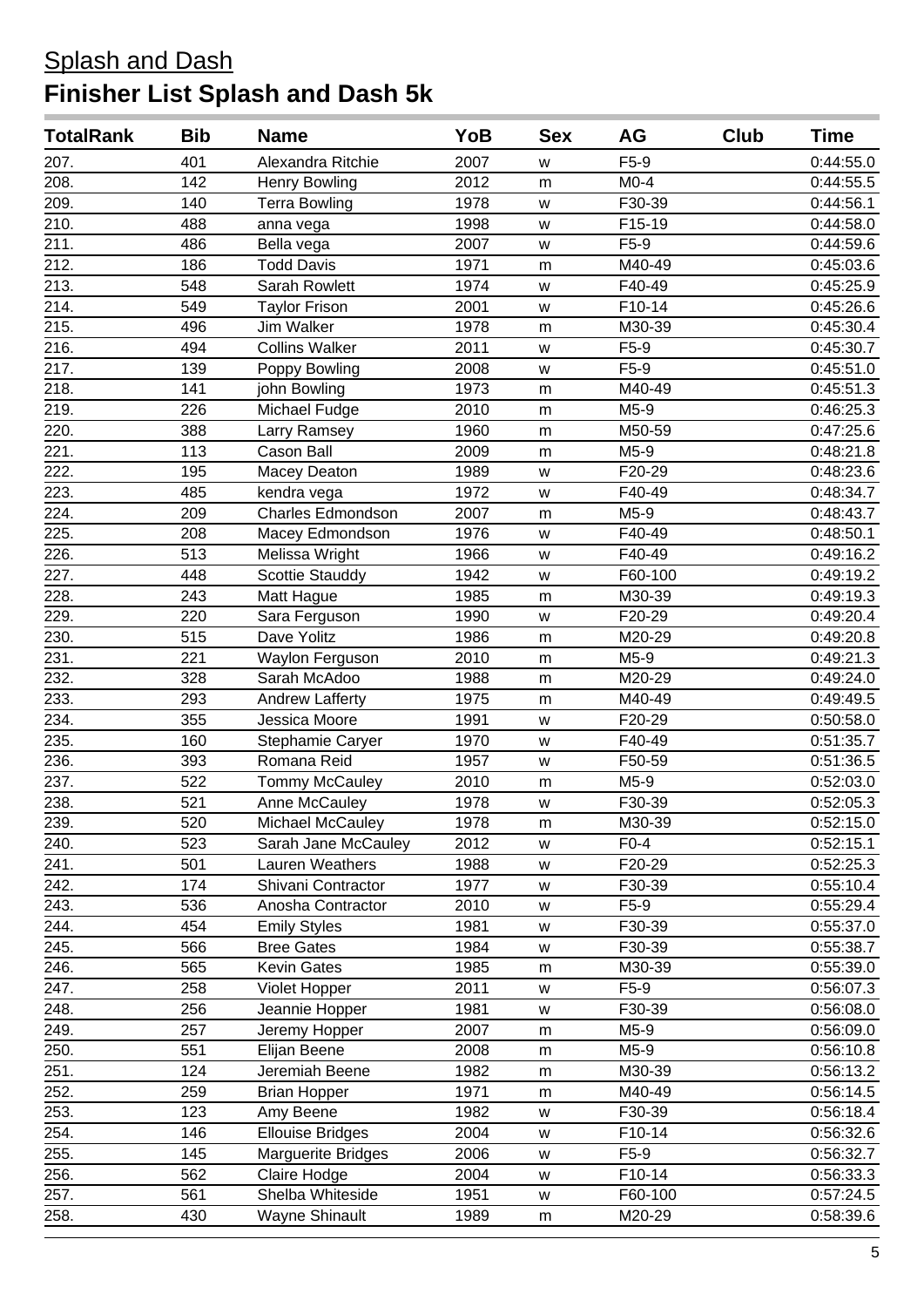| <b>TotalRank</b>   | <b>Bib</b> | <b>Name</b>               | YoB  | <b>Sex</b> | AG      | Club | <b>Time</b> |
|--------------------|------------|---------------------------|------|------------|---------|------|-------------|
| 207.               | 401        | Alexandra Ritchie         | 2007 | W          | $F5-9$  |      | 0:44:55.0   |
| 208.               | 142        | <b>Henry Bowling</b>      | 2012 | m          | $M0-4$  |      | 0:44:55.5   |
| 209.               | 140        | <b>Terra Bowling</b>      | 1978 | W          | F30-39  |      | 0:44:56.1   |
| 210.               | 488        | anna vega                 | 1998 | W          | F15-19  |      | 0:44:58.0   |
| 211.               | 486        | Bella vega                | 2007 | W          | $F5-9$  |      | 0:44:59.6   |
| $\overline{212}$ . | 186        | <b>Todd Davis</b>         | 1971 | m          | M40-49  |      | 0:45:03.6   |
| 213.               | 548        | Sarah Rowlett             | 1974 | W          | F40-49  |      | 0:45:25.9   |
| 214.               | 549        | <b>Taylor Frison</b>      | 2001 | W          | F10-14  |      | 0:45:26.6   |
| 215.               | 496        | <b>Jim Walker</b>         | 1978 | m          | M30-39  |      | 0:45:30.4   |
| 216.               | 494        | <b>Collins Walker</b>     | 2011 | W          | $F5-9$  |      | 0:45:30.7   |
| 217.               | 139        | Poppy Bowling             | 2008 | W          | F5-9    |      | 0:45:51.0   |
| 218.               | 141        | john Bowling              | 1973 | m          | M40-49  |      | 0:45:51.3   |
| 219.               | 226        | Michael Fudge             | 2010 | m          | M5-9    |      | 0:46:25.3   |
| 220.               | 388        | Larry Ramsey              | 1960 | m          | M50-59  |      | 0:47:25.6   |
| 221.               | 113        | Cason Ball                | 2009 | m          | M5-9    |      | 0:48:21.8   |
| 222.               | 195        | Macey Deaton              | 1989 | W          | F20-29  |      | 0:48:23.6   |
| 223.               | 485        | kendra vega               | 1972 | W          | F40-49  |      | 0:48:34.7   |
| 224.               | 209        | <b>Charles Edmondson</b>  | 2007 | m          | M5-9    |      | 0:48:43.7   |
| 225.               | 208        | Macey Edmondson           | 1976 | W          | F40-49  |      | 0:48:50.1   |
| 226.               | 513        | Melissa Wright            | 1966 | W          | F40-49  |      | 0:49:16.2   |
| 227.               | 448        | <b>Scottie Stauddy</b>    | 1942 | W          | F60-100 |      | 0:49:19.2   |
| 228.               | 243        | Matt Hague                | 1985 | m          | M30-39  |      | 0:49:19.3   |
| 229.               | 220        | Sara Ferguson             | 1990 | W          | F20-29  |      | 0:49:20.4   |
| 230.               | 515        | Dave Yolitz               | 1986 | ${\sf m}$  | M20-29  |      | 0:49:20.8   |
| 231.               | 221        | Waylon Ferguson           | 2010 | m          | M5-9    |      | 0:49:21.3   |
| 232.               | 328        | Sarah McAdoo              | 1988 | m          | M20-29  |      | 0:49:24.0   |
| 233.               | 293        | <b>Andrew Lafferty</b>    | 1975 | m          | M40-49  |      | 0:49:49.5   |
| 234.               | 355        | Jessica Moore             | 1991 | W          | F20-29  |      | 0:50:58.0   |
| 235.               | 160        | Stephamie Caryer          | 1970 | W          | F40-49  |      | 0:51:35.7   |
| 236.               | 393        | Romana Reid               | 1957 | W          | F50-59  |      | 0:51:36.5   |
| 237.               | 522        | Tommy McCauley            | 2010 | m          | M5-9    |      | 0:52:03.0   |
| 238.               | 521        | Anne McCauley             | 1978 | W          | F30-39  |      | 0:52:05.3   |
| 239.               | 520        | Michael McCauley          | 1978 | m          | M30-39  |      | 0:52:15.0   |
| 240.               | 523        | Sarah Jane McCauley       | 2012 | w          | $F0-4$  |      | 0:52:15.1   |
| 241.               | 501        | Lauren Weathers           | 1988 | W          | F20-29  |      | 0:52:25.3   |
| 242.               | 174        | Shivani Contractor        | 1977 | W          | F30-39  |      | 0:55:10.4   |
| 243.               | 536        | Anosha Contractor         | 2010 | W          | F5-9    |      | 0:55:29.4   |
| 244.               | 454        | <b>Emily Styles</b>       | 1981 | W          | F30-39  |      | 0:55:37.0   |
| 245.               | 566        | <b>Bree Gates</b>         | 1984 | W          | F30-39  |      | 0:55:38.7   |
| 246.               | 565        | <b>Kevin Gates</b>        | 1985 | m          | M30-39  |      | 0:55:39.0   |
| 247.               | 258        | Violet Hopper             | 2011 | W          | $F5-9$  |      | 0:56:07.3   |
| 248.               | 256        | Jeannie Hopper            | 1981 | W          | F30-39  |      | 0:56:08.0   |
| 249.               | 257        | Jeremy Hopper             | 2007 | m          | M5-9    |      | 0:56:09.0   |
| 250.               | 551        | Elijan Beene              | 2008 | m          | M5-9    |      | 0:56:10.8   |
| 251.               | 124        | Jeremiah Beene            | 1982 | m          | M30-39  |      | 0:56:13.2   |
| 252.               | 259        | <b>Brian Hopper</b>       | 1971 | m          | M40-49  |      | 0:56:14.5   |
| 253.               | 123        | Amy Beene                 | 1982 | W          | F30-39  |      | 0:56:18.4   |
| 254.               | 146        | <b>Ellouise Bridges</b>   | 2004 | W          | F10-14  |      | 0:56:32.6   |
| 255.               | 145        | <b>Marguerite Bridges</b> | 2006 | W          | $F5-9$  |      | 0:56:32.7   |
| 256.               | 562        | Claire Hodge              | 2004 | W          | F10-14  |      | 0:56:33.3   |
| 257.               | 561        | Shelba Whiteside          | 1951 | W          | F60-100 |      | 0:57:24.5   |
| 258.               | 430        | Wayne Shinault            | 1989 | m          | M20-29  |      | 0:58:39.6   |
|                    |            |                           |      |            |         |      |             |